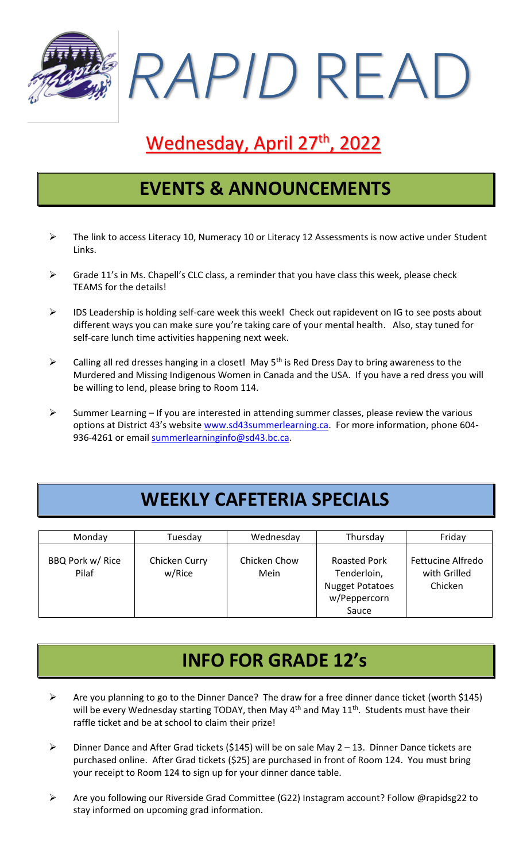*RAPID* READ

# Wednesday, April 27<sup>th</sup>, 2022

#### **EVENTS & ANNOUNCEMENTS**

- $\triangleright$  The link to access Literacy 10, Numeracy 10 or Literacy 12 Assessments is now active under Student Links.
- $\triangleright$  Grade 11's in Ms. Chapell's CLC class, a reminder that you have class this week, please check TEAMS for the details!
- ➢ IDS Leadership is holding self-care week this week! Check out rapidevent on IG to see posts about different ways you can make sure you're taking care of your mental health. Also, stay tuned for self-care lunch time activities happening next week.
- $\triangleright$  Calling all red dresses hanging in a closet! May 5<sup>th</sup> is Red Dress Day to bring awareness to the Murdered and Missing Indigenous Women in Canada and the USA. If you have a red dress you will be willing to lend, please bring to Room 114.
- $\triangleright$  Summer Learning If you are interested in attending summer classes, please review the various options at District 43's website [www.sd43summerlearning.ca.](http://www.sd43summerlearning.ca/) For more information, phone 604 936-4261 or email [summerlearninginfo@sd43.bc.ca.](mailto:summerlearninginfo@sd43.bc.ca)

### **WEEKLY CAFETERIA SPECIALS**

| Monday                    | Tuesday                 | Wednesday            | Thursday                                                                              | Friday                                              |
|---------------------------|-------------------------|----------------------|---------------------------------------------------------------------------------------|-----------------------------------------------------|
| BBQ Pork w/ Rice<br>Pilaf | Chicken Curry<br>w/Rice | Chicken Chow<br>Mein | <b>Roasted Pork</b><br>Tenderloin,<br><b>Nugget Potatoes</b><br>w/Peppercorn<br>Sauce | <b>Fettucine Alfredo</b><br>with Grilled<br>Chicken |

### **INFO FOR GRADE 12's**

- ➢ Are you planning to go to the Dinner Dance? The draw for a free dinner dance ticket (worth \$145) will be every Wednesday starting TODAY, then May  $4<sup>th</sup>$  and May  $11<sup>th</sup>$ . Students must have their raffle ticket and be at school to claim their prize!
- ➢ Dinner Dance and After Grad tickets (\$145) will be on sale May 2 13. Dinner Dance tickets are purchased online. After Grad tickets (\$25) are purchased in front of Room 124. You must bring your receipt to Room 124 to sign up for your dinner dance table.
- ➢ Are you following our Riverside Grad Committee (G22) Instagram account? Follow @rapidsg22 to stay informed on upcoming grad information.